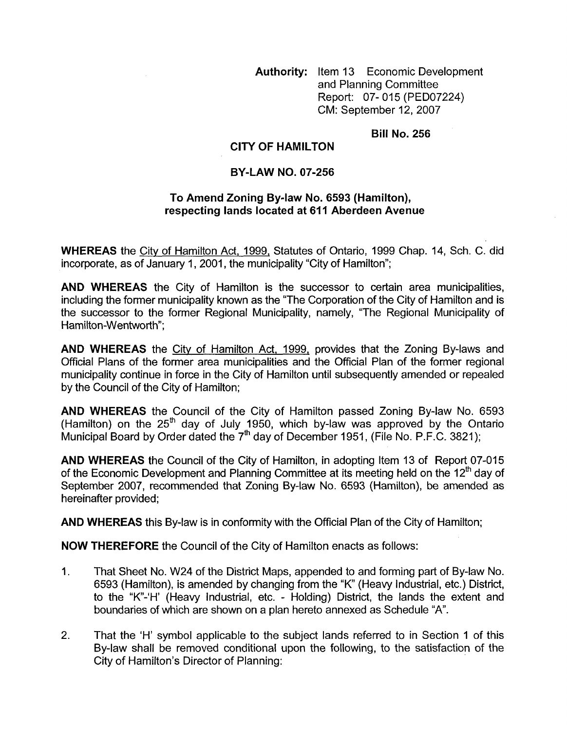**Authority:** Item 13 Economic Development and Planning Committee Report: 07- 015 (PED07224) CM: September 12,2007

## **Bill No. 256**

## **CITY OF HAMILTON**

## **BY-LAW NO. 07-256**

## To Amend Zoning By-law No. 6593 (Hamilton), **respecting lands located at 611 Aberdeen Avenue**

**WHEREAS** the City of Hamilton Act, 1999, Statutes of Ontario, 1999 Chap. 14, Sch. C. did incorporate, as of January 1, 2001, the municipality "City of Hamilton";

**AND WHEREAS** the City of Hamilton is the successor to certain area municipalities, including the former municipality known as the "The Corporation of the City of Hamilton and is the successor to the former Regional Municipality, namely, "The Regional Municipality of Hamilton-Wentworth":

**AND WHEREAS** the Citv of Hamilton Act, 1999, provides that the Zoning By-laws and Official Plans of the former area municipalities and the Official Plan of the former regional municipality continue in force in the City of Hamilton until subsequently amended or repealed by the Council of the City of Hamilton;

**AND WHEREAS** the Council of the City of Hamilton passed Zoning By-law No. 6593 (Hamilton) on the 25<sup>th</sup> day of July 1950, which by-law was approved by the Ontario Municipal Board by Order dated the 7<sup>th</sup> day of December 1951, (File No. P.F.C. 3821);

**AND WHEREAS** the Council of the City of Hamilton, in adopting Item 13 of Report 07-015 of the Economic Development and Planning Committee at its meeting held on the 12<sup>th</sup> day of September 2007, recommended that Zoning By-law No. 6593 (Hamilton), be amended as hereinafter provided;

**AND WHEREAS** this By-law is in conformity with the Official Plan of the City of Hamilton;

**NOW THEREFORE** the Council of the City of Hamilton enacts as follows:

- 1. That Sheet **No.** W24 of the District Maps, appended to and forming part of By-law No. 6593 (Hamilton), is amended by changing from the "K" (Heavy Industrial, etc.) District, to the "K-'H' (Heavy Industrial, etc. - Holding) District, the lands the extent and boundaries of which are shown on a plan hereto annexed as Schedule "A'.
- 2. That the 'H' symbol applicable to the subject lands referred to in Section 1 of this By-law shall be removed conditional upon the following, to the satisfaction of the City of Hamilton's Director of Planning: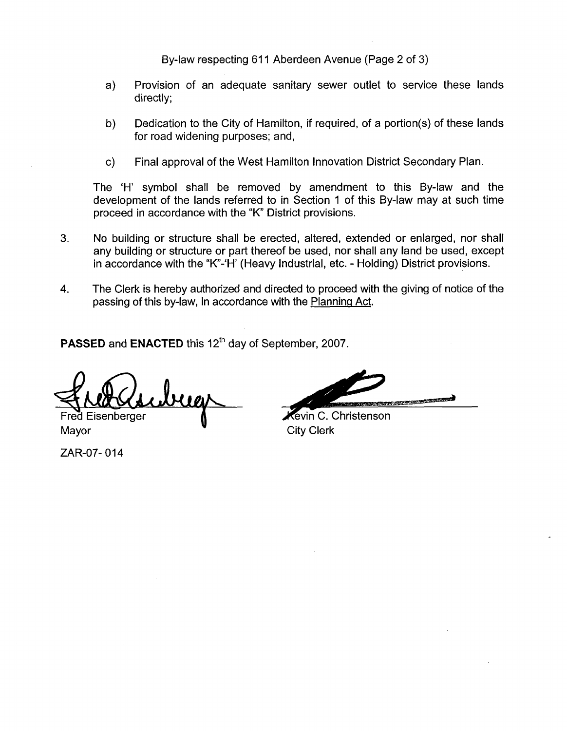By-law respecting 611 Aberdeen Avenue (Page 2 of 3)

- a) Provision of an adequate sanitary sewer outlet to service these lands directly:
- b) Dedication to the City of Hamilton, if required, of a portion(s) of these lands for road widening purposes; and,
- c) Final approval of the West Hamilton Innovation District Secondary Plan.

The 'H' symbol shall be removed by amendment to this By-law and the development of the lands referred to in Section 1 of this By-law may at such time proceed in accordance with the "K" District provisions.

- **3.** No building or structure shall be erected, altered, extended or enlarged, nor shall any building or structure or part thereof be used, nor shall any land be used, except in accordance with the "K"-'H' (Heavy Industrial, etc. - Holding) District provisions.
- **4.** The Clerk is hereby authorized and directed to proceed with the giving of notice of the passing of this by-law, in accordance with the Planning Act.

**PASSED** and **ENACTED** this 12<sup>th</sup> day of September, 2007.

ugs Fred Eisenberger

Mayor **W** City Clerk

ZAR-07- 01 **4** 

的过去式和过去分词

Kevin C. Christenson